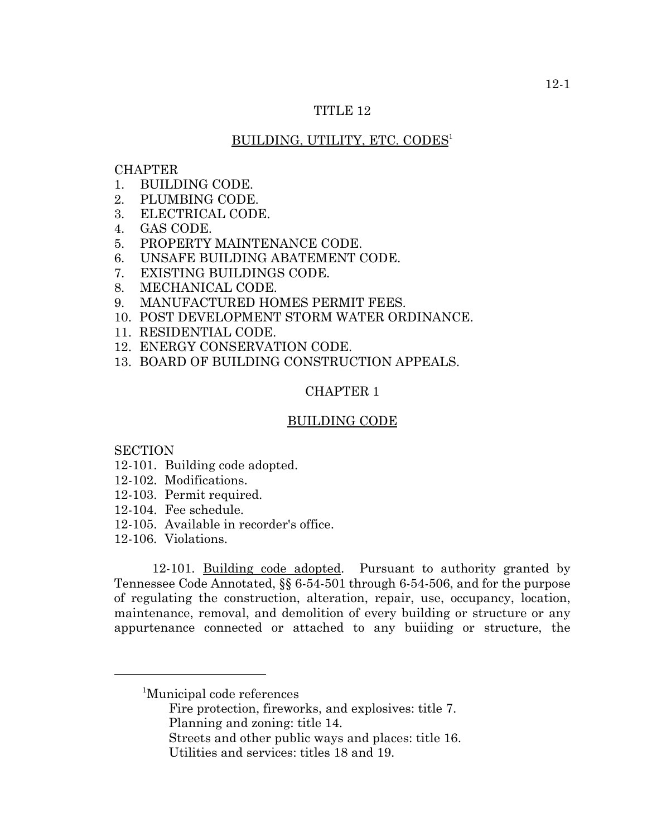## TITLE 12

## BUILDING, UTILITY, ETC. CODES<sup>1</sup>

## **CHAPTER**

- 1. BUILDING CODE.
- 2. PLUMBING CODE.
- 3. ELECTRICAL CODE.
- 4. GAS CODE.
- 5. PROPERTY MAINTENANCE CODE.
- 6. UNSAFE BUILDING ABATEMENT CODE.
- 7. EXISTING BUILDINGS CODE.
- 8. MECHANICAL CODE.
- 9. MANUFACTURED HOMES PERMIT FEES.
- 10. POST DEVELOPMENT STORM WATER ORDINANCE.
- 11. RESIDENTIAL CODE.
- 12. ENERGY CONSERVATION CODE.
- 13. BOARD OF BUILDING CONSTRUCTION APPEALS.

# CHAPTER 1

#### BUILDING CODE

**SECTION** 

- 12-101. Building code adopted.
- 12-102. Modifications.
- 12-103. Permit required.
- 12-104. Fee schedule.
- 12-105. Available in recorder's office.
- 12-106. Violations.

12-101. Building code adopted. Pursuant to authority granted by Tennessee Code Annotated, §§ 6-54-501 through 6-54-506, and for the purpose of regulating the construction, alteration, repair, use, occupancy, location, maintenance, removal, and demolition of every building or structure or any appurtenance connected or attached to any buiiding or structure, the

- Fire protection, fireworks, and explosives: title 7.
- Planning and zoning: title 14.
- Streets and other public ways and places: title 16.
- Utilities and services: titles 18 and 19.

<sup>1</sup> Municipal code references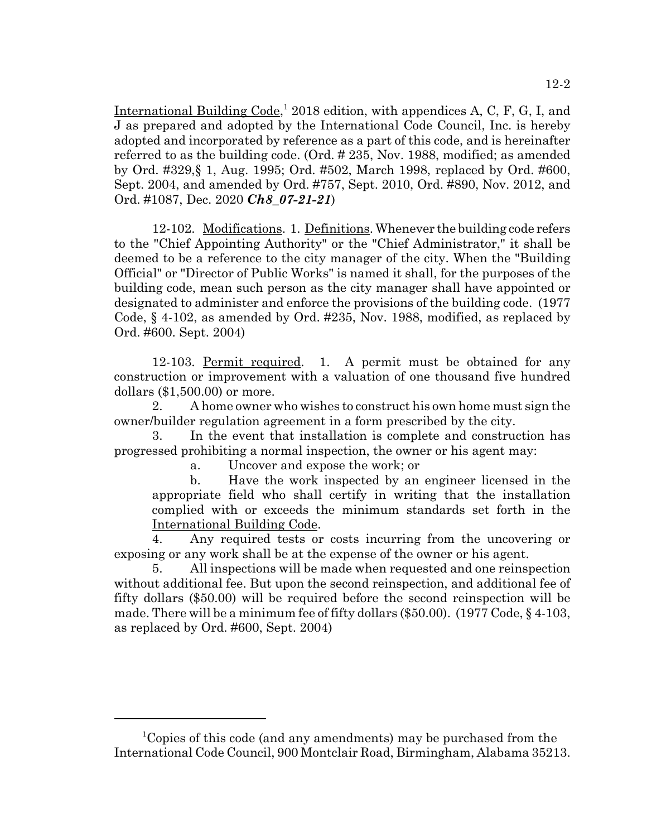International Building Code,<sup>1</sup> 2018 edition, with appendices A, C, F, G, I, and J as prepared and adopted by the International Code Council, Inc. is hereby adopted and incorporated by reference as a part of this code, and is hereinafter referred to as the building code. (Ord. # 235, Nov. 1988, modified; as amended by Ord. #329,§ 1, Aug. 1995; Ord. #502, March 1998, replaced by Ord. #600, Sept. 2004, and amended by Ord. #757, Sept. 2010, Ord. #890, Nov. 2012, and Ord. #1087, Dec. 2020 *Ch8\_07-21-21*)

12-102. Modifications. 1. Definitions. Whenever the building code refers to the "Chief Appointing Authority" or the "Chief Administrator," it shall be deemed to be a reference to the city manager of the city. When the "Building Official" or "Director of Public Works" is named it shall, for the purposes of the building code, mean such person as the city manager shall have appointed or designated to administer and enforce the provisions of the building code. (1977 Code, § 4-102, as amended by Ord. #235, Nov. 1988, modified, as replaced by Ord. #600. Sept. 2004)

12-103. Permit required. 1. A permit must be obtained for any construction or improvement with a valuation of one thousand five hundred dollars (\$1,500.00) or more.

2. A home owner who wishes to construct his own home must sign the owner/builder regulation agreement in a form prescribed by the city.

3. In the event that installation is complete and construction has progressed prohibiting a normal inspection, the owner or his agent may:

a. Uncover and expose the work; or

b. Have the work inspected by an engineer licensed in the appropriate field who shall certify in writing that the installation complied with or exceeds the minimum standards set forth in the International Building Code.

4. Any required tests or costs incurring from the uncovering or exposing or any work shall be at the expense of the owner or his agent.

5. All inspections will be made when requested and one reinspection without additional fee. But upon the second reinspection, and additional fee of fifty dollars (\$50.00) will be required before the second reinspection will be made. There will be a minimum fee of fifty dollars (\$50.00). (1977 Code, § 4-103, as replaced by Ord. #600, Sept. 2004)

<sup>1</sup> Copies of this code (and any amendments) may be purchased from the International Code Council, 900 Montclair Road, Birmingham, Alabama 35213.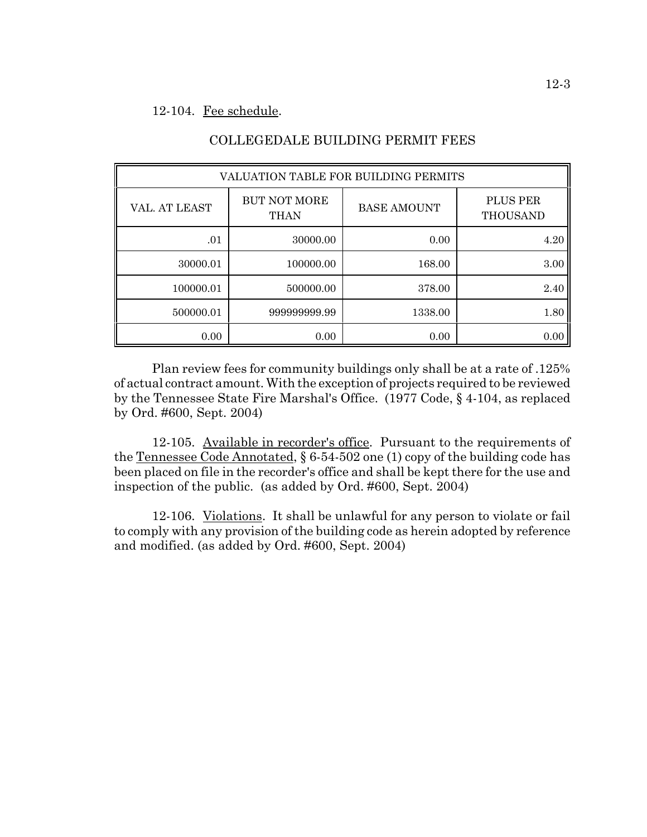## 12-104. Fee schedule.

| VALUATION TABLE FOR BUILDING PERMITS |                                    |                    |                             |  |  |
|--------------------------------------|------------------------------------|--------------------|-----------------------------|--|--|
| VAL. AT LEAST                        | <b>BUT NOT MORE</b><br><b>THAN</b> | <b>BASE AMOUNT</b> | <b>PLUS PER</b><br>THOUSAND |  |  |
| .01                                  | 30000.00                           | 0.00               | 4.20                        |  |  |
| 30000.01                             | 100000.00                          | 168.00             | 3.00                        |  |  |
| 100000.01                            | 500000.00                          | 378.00             | 2.40                        |  |  |
| 500000.01                            | 999999999.99                       | 1338.00            | 1.80                        |  |  |
| 0.00                                 | 0.00                               | 0.00               | 0.00                        |  |  |

# COLLEGEDALE BUILDING PERMIT FEES

Plan review fees for community buildings only shall be at a rate of .125% of actual contract amount. With the exception of projects required to be reviewed by the Tennessee State Fire Marshal's Office. (1977 Code, § 4-104, as replaced by Ord. #600, Sept. 2004)

12-105. Available in recorder's office. Pursuant to the requirements of the Tennessee Code Annotated, § 6-54-502 one (1) copy of the building code has been placed on file in the recorder's office and shall be kept there for the use and inspection of the public. (as added by Ord. #600, Sept. 2004)

12-106. Violations. It shall be unlawful for any person to violate or fail to comply with any provision of the building code as herein adopted by reference and modified. (as added by Ord. #600, Sept. 2004)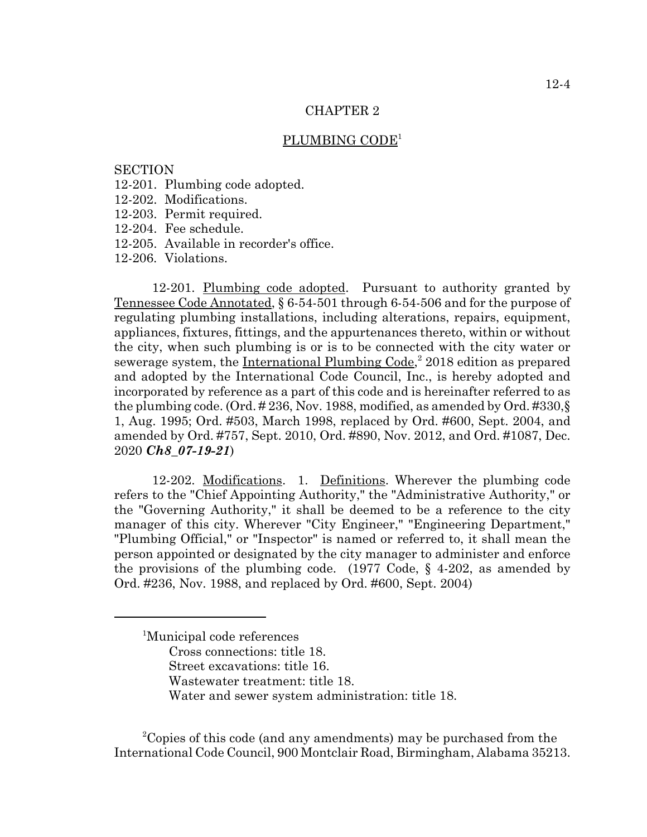## PLUMBING CODE<sup>1</sup>

## **SECTION**

- 12-201. Plumbing code adopted.
- 12-202. Modifications.
- 12-203. Permit required.
- 12-204. Fee schedule.
- 12-205. Available in recorder's office.

12-206. Violations.

12-201. Plumbing code adopted. Pursuant to authority granted by Tennessee Code Annotated, § 6-54-501 through 6-54-506 and for the purpose of regulating plumbing installations, including alterations, repairs, equipment, appliances, fixtures, fittings, and the appurtenances thereto, within or without the city, when such plumbing is or is to be connected with the city water or sewerage system, the International Plumbing Code,<sup>2</sup> 2018 edition as prepared and adopted by the International Code Council, Inc., is hereby adopted and incorporated by reference as a part of this code and is hereinafter referred to as the plumbing code. (Ord. # 236, Nov. 1988, modified, as amended by Ord. #330,§ 1, Aug. 1995; Ord. #503, March 1998, replaced by Ord. #600, Sept. 2004, and amended by Ord. #757, Sept. 2010, Ord. #890, Nov. 2012, and Ord. #1087, Dec. 2020 *Ch8\_07-19-21*)

12-202. Modifications. 1. Definitions. Wherever the plumbing code refers to the "Chief Appointing Authority," the "Administrative Authority," or the "Governing Authority," it shall be deemed to be a reference to the city manager of this city. Wherever "City Engineer," "Engineering Department," "Plumbing Official," or "Inspector" is named or referred to, it shall mean the person appointed or designated by the city manager to administer and enforce the provisions of the plumbing code. (1977 Code,  $\S$  4-202, as amended by Ord. #236, Nov. 1988, and replaced by Ord. #600, Sept. 2004)

- Cross connections: title 18.
- Street excavations: title 16.
- Wastewater treatment: title 18.
- Water and sewer system administration: title 18.

<sup>2</sup>Copies of this code (and any amendments) may be purchased from the International Code Council, 900 Montclair Road, Birmingham, Alabama 35213.

<sup>1</sup> Municipal code references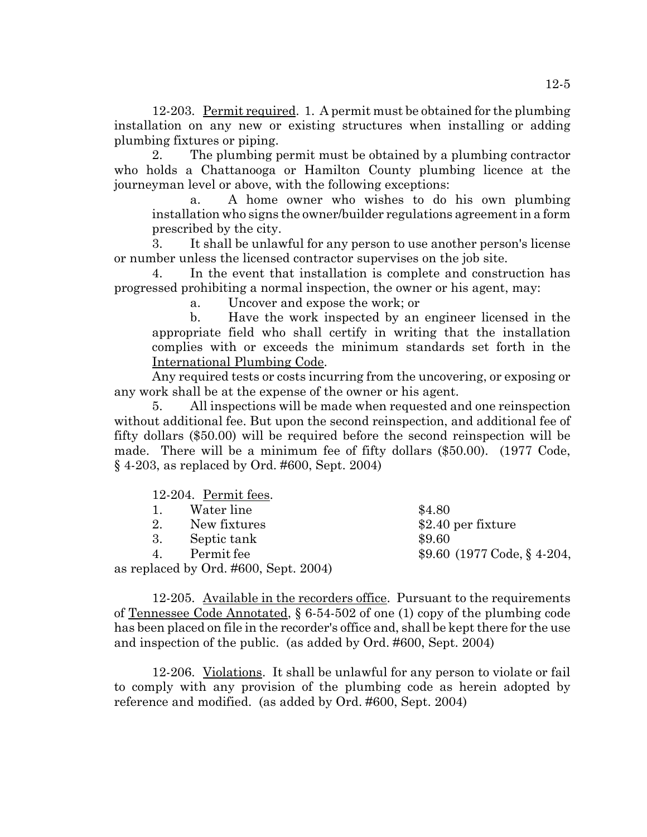12-203. Permit required. 1. A permit must be obtained for the plumbing installation on any new or existing structures when installing or adding plumbing fixtures or piping.

2. The plumbing permit must be obtained by a plumbing contractor who holds a Chattanooga or Hamilton County plumbing licence at the journeyman level or above, with the following exceptions:

a. A home owner who wishes to do his own plumbing installation who signs the owner/builder regulations agreement in a form prescribed by the city.

3. It shall be unlawful for any person to use another person's license or number unless the licensed contractor supervises on the job site.

In the event that installation is complete and construction has progressed prohibiting a normal inspection, the owner or his agent, may:

a. Uncover and expose the work; or

b. Have the work inspected by an engineer licensed in the appropriate field who shall certify in writing that the installation complies with or exceeds the minimum standards set forth in the International Plumbing Code.

Any required tests or costs incurring from the uncovering, or exposing or any work shall be at the expense of the owner or his agent.

5. All inspections will be made when requested and one reinspection without additional fee. But upon the second reinspection, and additional fee of fifty dollars (\$50.00) will be required before the second reinspection will be made. There will be a minimum fee of fifty dollars (\$50.00). (1977 Code, § 4-203, as replaced by Ord. #600, Sept. 2004)

| 12-204. Permit fees.                  |                              |
|---------------------------------------|------------------------------|
| Water line<br>$\mathbf{L}$            | \$4.80                       |
| 2. New fixtures                       | $$2.40$ per fixture          |
| 3. Septic tank                        | \$9.60                       |
| Permit fee<br>$\overline{4}$          | $$9.60$ (1977 Code, § 4-204, |
| as replaced by Ord. #600, Sept. 2004) |                              |

12-205. Available in the recorders office. Pursuant to the requirements of Tennessee Code Annotated, § 6-54-502 of one (1) copy of the plumbing code has been placed on file in the recorder's office and, shall be kept there for the use and inspection of the public. (as added by Ord. #600, Sept. 2004)

12-206. Violations. It shall be unlawful for any person to violate or fail to comply with any provision of the plumbing code as herein adopted by reference and modified. (as added by Ord. #600, Sept. 2004)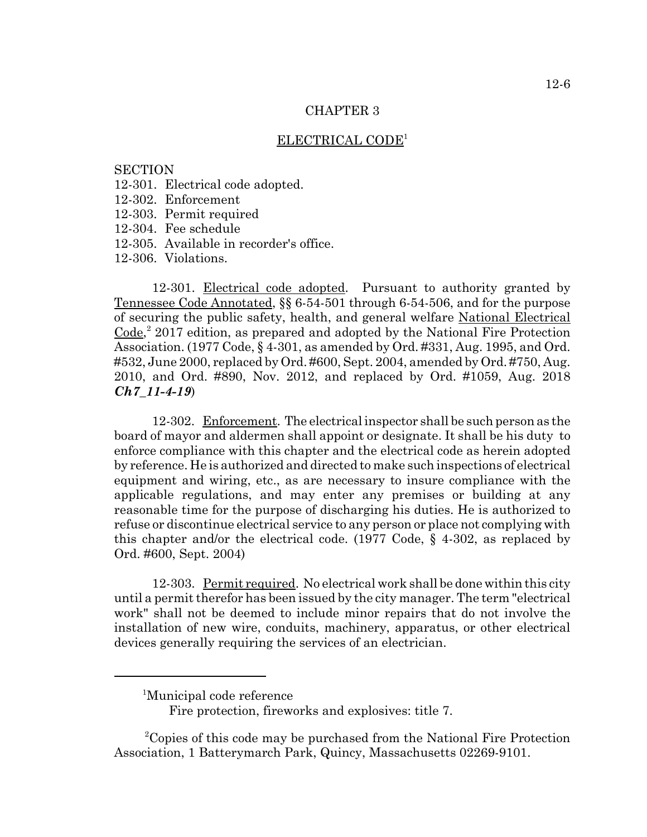## ELECTRICAL CODE1

### **SECTION**

- 12-301. Electrical code adopted.
- 12-302. Enforcement
- 12-303. Permit required
- 12-304. Fee schedule
- 12-305. Available in recorder's office.

12-306. Violations.

12-301. Electrical code adopted. Pursuant to authority granted by Tennessee Code Annotated, §§ 6-54-501 through 6-54-506, and for the purpose of securing the public safety, health, and general welfare National Electrical Code,<sup>2</sup> 2017 edition, as prepared and adopted by the National Fire Protection Association. (1977 Code, § 4-301, as amended by Ord. #331, Aug. 1995, and Ord. #532, June 2000, replaced by Ord. #600, Sept. 2004, amended by Ord. #750, Aug. 2010, and Ord. #890, Nov. 2012, and replaced by Ord. #1059, Aug. 2018 *Ch7\_11-4-19*)

12-302. Enforcement. The electrical inspector shall be such person as the board of mayor and aldermen shall appoint or designate. It shall be his duty to enforce compliance with this chapter and the electrical code as herein adopted by reference. He is authorized and directed to make such inspections of electrical equipment and wiring, etc., as are necessary to insure compliance with the applicable regulations, and may enter any premises or building at any reasonable time for the purpose of discharging his duties. He is authorized to refuse or discontinue electrical service to any person or place not complying with this chapter and/or the electrical code. (1977 Code, § 4-302, as replaced by Ord. #600, Sept. 2004)

12-303. Permit required. No electrical work shall be done within this city until a permit therefor has been issued by the city manager. The term "electrical work" shall not be deemed to include minor repairs that do not involve the installation of new wire, conduits, machinery, apparatus, or other electrical devices generally requiring the services of an electrician.

<sup>1</sup> Municipal code reference

Fire protection, fireworks and explosives: title 7.

<sup>&</sup>lt;sup>2</sup>Copies of this code may be purchased from the National Fire Protection Association, 1 Batterymarch Park, Quincy, Massachusetts 02269-9101.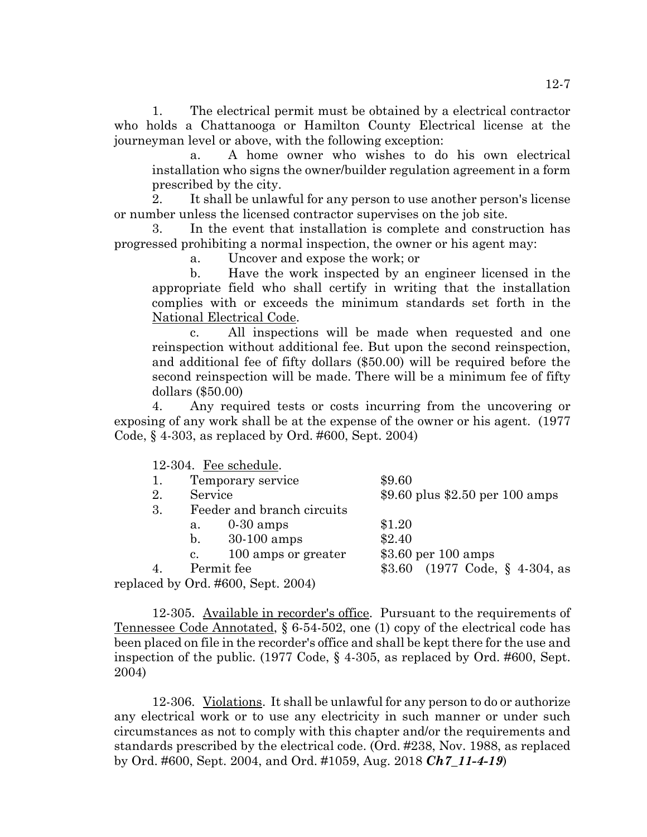1. The electrical permit must be obtained by a electrical contractor who holds a Chattanooga or Hamilton County Electrical license at the journeyman level or above, with the following exception:

a. A home owner who wishes to do his own electrical installation who signs the owner/builder regulation agreement in a form prescribed by the city.

2. It shall be unlawful for any person to use another person's license or number unless the licensed contractor supervises on the job site.

In the event that installation is complete and construction has progressed prohibiting a normal inspection, the owner or his agent may:

a. Uncover and expose the work; or

b. Have the work inspected by an engineer licensed in the appropriate field who shall certify in writing that the installation complies with or exceeds the minimum standards set forth in the National Electrical Code.

c. All inspections will be made when requested and one reinspection without additional fee. But upon the second reinspection, and additional fee of fifty dollars (\$50.00) will be required before the second reinspection will be made. There will be a minimum fee of fifty dollars (\$50.00)

4. Any required tests or costs incurring from the uncovering or exposing of any work shall be at the expense of the owner or his agent. (1977 Code, § 4-303, as replaced by Ord. #600, Sept. 2004)

12-304. Fee schedule.

| 1. |                | Temporary service                  | \$9.60               |  |                                                   |
|----|----------------|------------------------------------|----------------------|--|---------------------------------------------------|
| 2. | Service        |                                    |                      |  | \$9.60 plus \$2.50 per 100 amps                   |
| 3. |                | Feeder and branch circuits         |                      |  |                                                   |
|    | а.             | $0-30$ amps                        | \$1.20               |  |                                                   |
|    | $\mathbf{b}$ . | $30-100$ amps                      | \$2.40               |  |                                                   |
|    | $\mathbf{c}$ . | 100 amps or greater                | $$3.60$ per 100 amps |  |                                                   |
|    |                | Permit fee                         |                      |  | \$3.60 $(1977 \text{ Code}, \S 4-304, \text{as})$ |
|    |                | replaced by Ord. #600, Sept. 2004) |                      |  |                                                   |

12-305. Available in recorder's office. Pursuant to the requirements of Tennessee Code Annotated, § 6-54-502, one (1) copy of the electrical code has been placed on file in the recorder's office and shall be kept there for the use and inspection of the public. (1977 Code, § 4-305, as replaced by Ord. #600, Sept. 2004)

12-306. Violations. It shall be unlawful for any person to do or authorize any electrical work or to use any electricity in such manner or under such circumstances as not to comply with this chapter and/or the requirements and standards prescribed by the electrical code. (Ord. #238, Nov. 1988, as replaced by Ord. #600, Sept. 2004, and Ord. #1059, Aug. 2018 *Ch7\_11-4-19*)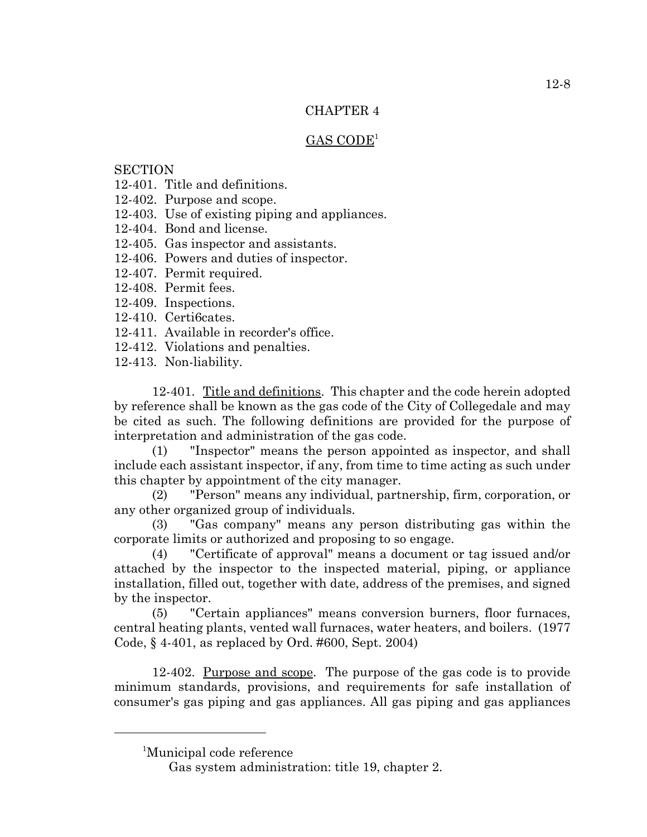## $GAS CODE<sup>1</sup>$

# **SECTION**

- 12-401. Title and definitions.
- 12-402. Purpose and scope.
- 12-403. Use of existing piping and appliances.
- 12-404. Bond and license.
- 12-405. Gas inspector and assistants.
- 12-406. Powers and duties of inspector.
- 12-407. Permit required.
- 12-408. Permit fees.
- 12-409. Inspections.
- 12-410. Certi6cates.
- 12-411. Available in recorder's office.
- 12-412. Violations and penalties.
- 12-413. Non-liability.

12-401. Title and definitions. This chapter and the code herein adopted by reference shall be known as the gas code of the City of Collegedale and may be cited as such. The following definitions are provided for the purpose of interpretation and administration of the gas code.

(1) "Inspector" means the person appointed as inspector, and shall include each assistant inspector, if any, from time to time acting as such under this chapter by appointment of the city manager.

(2) "Person" means any individual, partnership, firm, corporation, or any other organized group of individuals.

(3) "Gas company" means any person distributing gas within the corporate limits or authorized and proposing to so engage.

(4) "Certificate of approval" means a document or tag issued and/or attached by the inspector to the inspected material, piping, or appliance installation, filled out, together with date, address of the premises, and signed by the inspector.

(5) "Certain appliances" means conversion burners, floor furnaces, central heating plants, vented wall furnaces, water heaters, and boilers. (1977 Code, § 4-401, as replaced by Ord. #600, Sept. 2004)

12-402. Purpose and scope. The purpose of the gas code is to provide minimum standards, provisions, and requirements for safe installation of consumer's gas piping and gas appliances. All gas piping and gas appliances

<sup>1</sup> Municipal code reference

Gas system administration: title 19, chapter 2.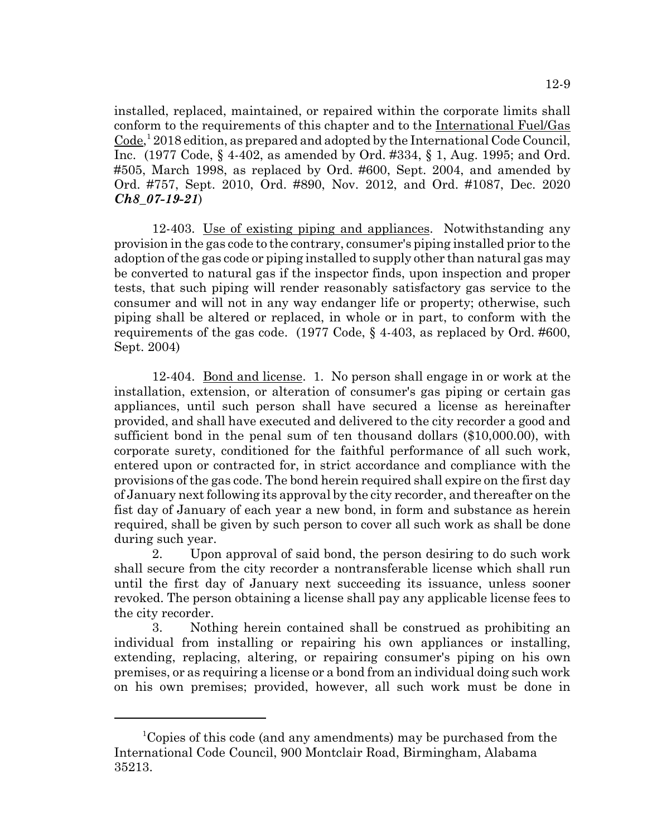12-9

installed, replaced, maintained, or repaired within the corporate limits shall conform to the requirements of this chapter and to the International Fuel/Gas Code,<sup>1</sup> 2018 edition, as prepared and adopted by the International Code Council, Inc. (1977 Code, § 4-402, as amended by Ord. #334, § 1, Aug. 1995; and Ord. #505, March 1998, as replaced by Ord. #600, Sept. 2004, and amended by Ord. #757, Sept. 2010, Ord. #890, Nov. 2012, and Ord. #1087, Dec. 2020 *Ch8\_07-19-21*)

12-403. Use of existing piping and appliances. Notwithstanding any provision in the gas code to the contrary, consumer's piping installed prior to the adoption of the gas code or piping installed to supply other than natural gas may be converted to natural gas if the inspector finds, upon inspection and proper tests, that such piping will render reasonably satisfactory gas service to the consumer and will not in any way endanger life or property; otherwise, such piping shall be altered or replaced, in whole or in part, to conform with the requirements of the gas code. (1977 Code, § 4-403, as replaced by Ord. #600, Sept. 2004)

12-404. <u>Bond and license</u>. 1. No person shall engage in or work at the installation, extension, or alteration of consumer's gas piping or certain gas appliances, until such person shall have secured a license as hereinafter provided, and shall have executed and delivered to the city recorder a good and sufficient bond in the penal sum of ten thousand dollars (\$10,000.00), with corporate surety, conditioned for the faithful performance of all such work, entered upon or contracted for, in strict accordance and compliance with the provisions of the gas code. The bond herein required shall expire on the first day of January next following its approval by the city recorder, and thereafter on the fist day of January of each year a new bond, in form and substance as herein required, shall be given by such person to cover all such work as shall be done during such year.

2. Upon approval of said bond, the person desiring to do such work shall secure from the city recorder a nontransferable license which shall run until the first day of January next succeeding its issuance, unless sooner revoked. The person obtaining a license shall pay any applicable license fees to the city recorder.

3. Nothing herein contained shall be construed as prohibiting an individual from installing or repairing his own appliances or installing, extending, replacing, altering, or repairing consumer's piping on his own premises, or as requiring a license or a bond from an individual doing such work on his own premises; provided, however, all such work must be done in

<sup>&</sup>lt;sup>1</sup>Copies of this code (and any amendments) may be purchased from the International Code Council, 900 Montclair Road, Birmingham, Alabama 35213.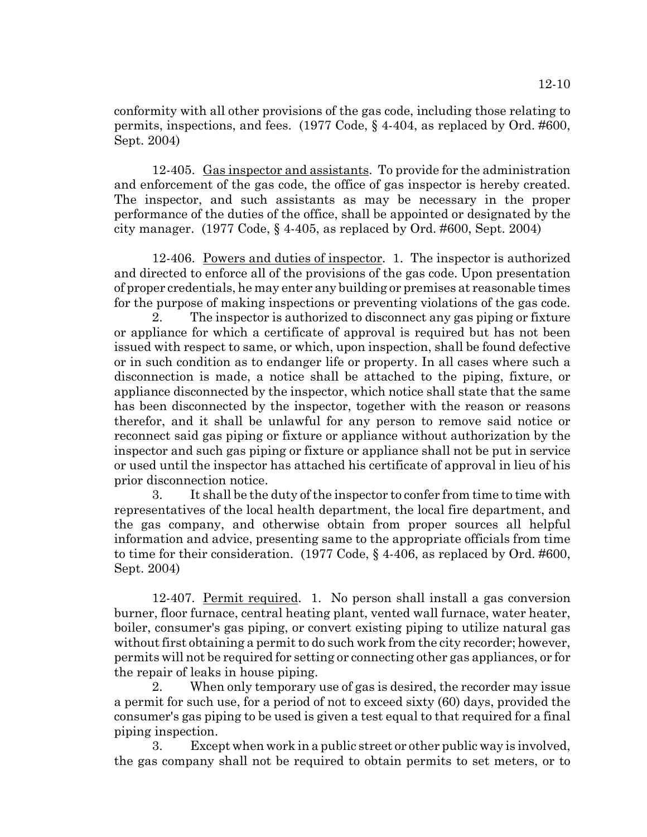conformity with all other provisions of the gas code, including those relating to permits, inspections, and fees. (1977 Code, § 4-404, as replaced by Ord. #600, Sept. 2004)

12-405. Gas inspector and assistants. To provide for the administration and enforcement of the gas code, the office of gas inspector is hereby created. The inspector, and such assistants as may be necessary in the proper performance of the duties of the office, shall be appointed or designated by the city manager. (1977 Code, § 4-405, as replaced by Ord. #600, Sept. 2004)

12-406. Powers and duties of inspector. 1. The inspector is authorized and directed to enforce all of the provisions of the gas code. Upon presentation of proper credentials, he may enter any building or premises at reasonable times for the purpose of making inspections or preventing violations of the gas code.

2. The inspector is authorized to disconnect any gas piping or fixture or appliance for which a certificate of approval is required but has not been issued with respect to same, or which, upon inspection, shall be found defective or in such condition as to endanger life or property. In all cases where such a disconnection is made, a notice shall be attached to the piping, fixture, or appliance disconnected by the inspector, which notice shall state that the same has been disconnected by the inspector, together with the reason or reasons therefor, and it shall be unlawful for any person to remove said notice or reconnect said gas piping or fixture or appliance without authorization by the inspector and such gas piping or fixture or appliance shall not be put in service or used until the inspector has attached his certificate of approval in lieu of his prior disconnection notice.

3. It shall be the duty of the inspector to confer from time to time with representatives of the local health department, the local fire department, and the gas company, and otherwise obtain from proper sources all helpful information and advice, presenting same to the appropriate officials from time to time for their consideration. (1977 Code, § 4-406, as replaced by Ord. #600, Sept. 2004)

12-407. Permit required. 1. No person shall install a gas conversion burner, floor furnace, central heating plant, vented wall furnace, water heater, boiler, consumer's gas piping, or convert existing piping to utilize natural gas without first obtaining a permit to do such work from the city recorder; however, permits will not be required for setting or connecting other gas appliances, or for the repair of leaks in house piping.

2. When only temporary use of gas is desired, the recorder may issue a permit for such use, for a period of not to exceed sixty (60) days, provided the consumer's gas piping to be used is given a test equal to that required for a final piping inspection.

3. Except when work in a public street or other public way is involved, the gas company shall not be required to obtain permits to set meters, or to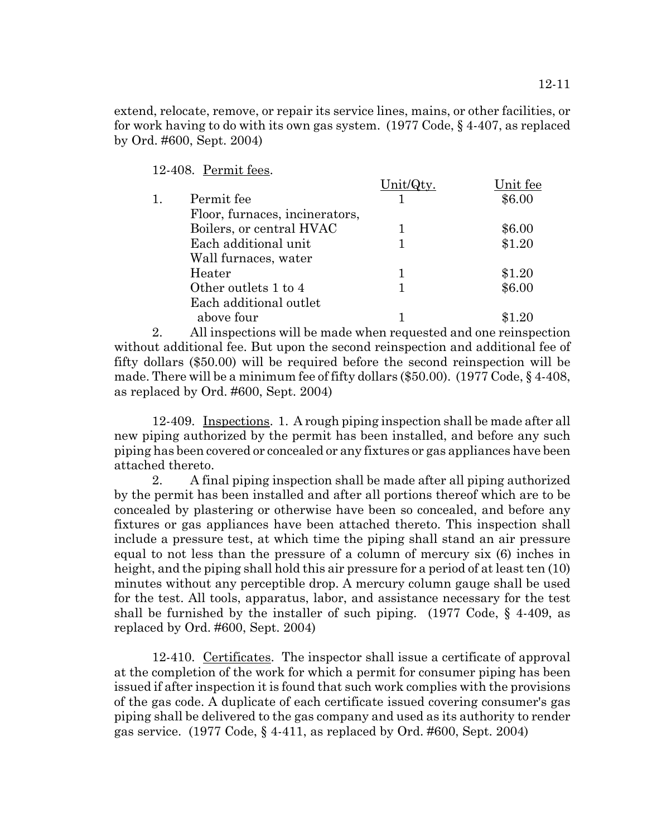extend, relocate, remove, or repair its service lines, mains, or other facilities, or for work having to do with its own gas system. (1977 Code, § 4-407, as replaced by Ord. #600, Sept. 2004)

12-408. Permit fees.

|                                | Unit/ | Unit fee |
|--------------------------------|-------|----------|
| Permit fee                     |       | \$6.00   |
| Floor, furnaces, incinerators, |       |          |
| Boilers, or central HVAC       |       | \$6.00   |
| Each additional unit           |       | \$1.20   |
| Wall furnaces, water           |       |          |
| Heater                         |       | \$1.20   |
| Other outlets 1 to 4           |       | \$6.00   |
| Each additional outlet         |       |          |
| above four                     |       |          |
|                                |       |          |

2. All inspections will be made when requested and one reinspection without additional fee. But upon the second reinspection and additional fee of fifty dollars (\$50.00) will be required before the second reinspection will be made. There will be a minimum fee of fifty dollars (\$50.00). (1977 Code, § 4-408, as replaced by Ord. #600, Sept. 2004)

12-409. Inspections. 1. A rough piping inspection shall be made after all new piping authorized by the permit has been installed, and before any such piping has been covered or concealed or any fixtures or gas appliances have been attached thereto.

2. A final piping inspection shall be made after all piping authorized by the permit has been installed and after all portions thereof which are to be concealed by plastering or otherwise have been so concealed, and before any fixtures or gas appliances have been attached thereto. This inspection shall include a pressure test, at which time the piping shall stand an air pressure equal to not less than the pressure of a column of mercury six (6) inches in height, and the piping shall hold this air pressure for a period of at least ten (10) minutes without any perceptible drop. A mercury column gauge shall be used for the test. All tools, apparatus, labor, and assistance necessary for the test shall be furnished by the installer of such piping.  $(1977 \text{ Code}, \S 4-409, \text{as})$ replaced by Ord. #600, Sept. 2004)

12-410. Certificates. The inspector shall issue a certificate of approval at the completion of the work for which a permit for consumer piping has been issued if after inspection it is found that such work complies with the provisions of the gas code. A duplicate of each certificate issued covering consumer's gas piping shall be delivered to the gas company and used as its authority to render gas service. (1977 Code, § 4-411, as replaced by Ord. #600, Sept. 2004)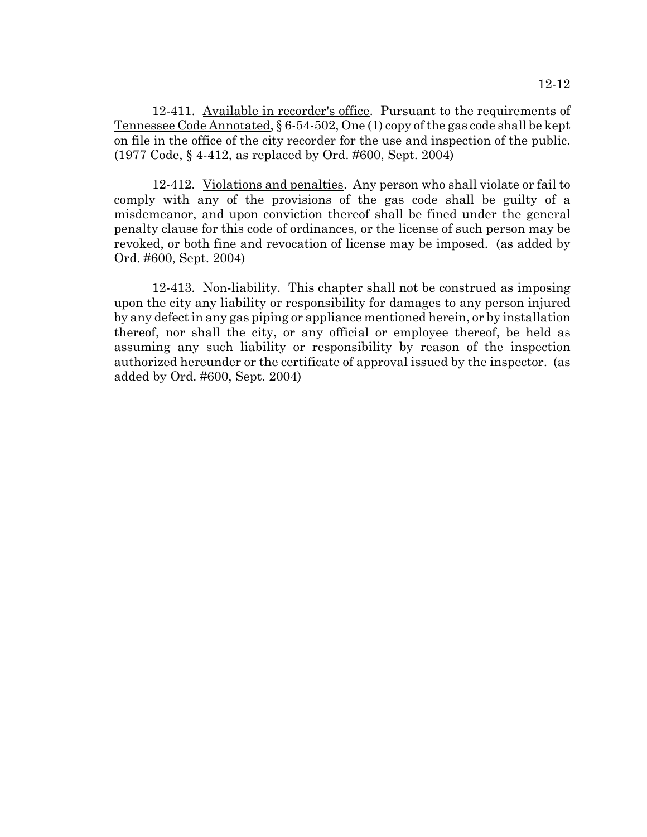12-411. Available in recorder's office. Pursuant to the requirements of Tennessee Code Annotated, § 6-54-502, One (1) copy of the gas code shall be kept on file in the office of the city recorder for the use and inspection of the public. (1977 Code, § 4-412, as replaced by Ord. #600, Sept. 2004)

12-412. Violations and penalties. Any person who shall violate or fail to comply with any of the provisions of the gas code shall be guilty of a misdemeanor, and upon conviction thereof shall be fined under the general penalty clause for this code of ordinances, or the license of such person may be revoked, or both fine and revocation of license may be imposed. (as added by Ord. #600, Sept. 2004)

12-413. Non-liability. This chapter shall not be construed as imposing upon the city any liability or responsibility for damages to any person injured by any defect in any gas piping or appliance mentioned herein, or by installation thereof, nor shall the city, or any official or employee thereof, be held as assuming any such liability or responsibility by reason of the inspection authorized hereunder or the certificate of approval issued by the inspector. (as added by Ord. #600, Sept. 2004)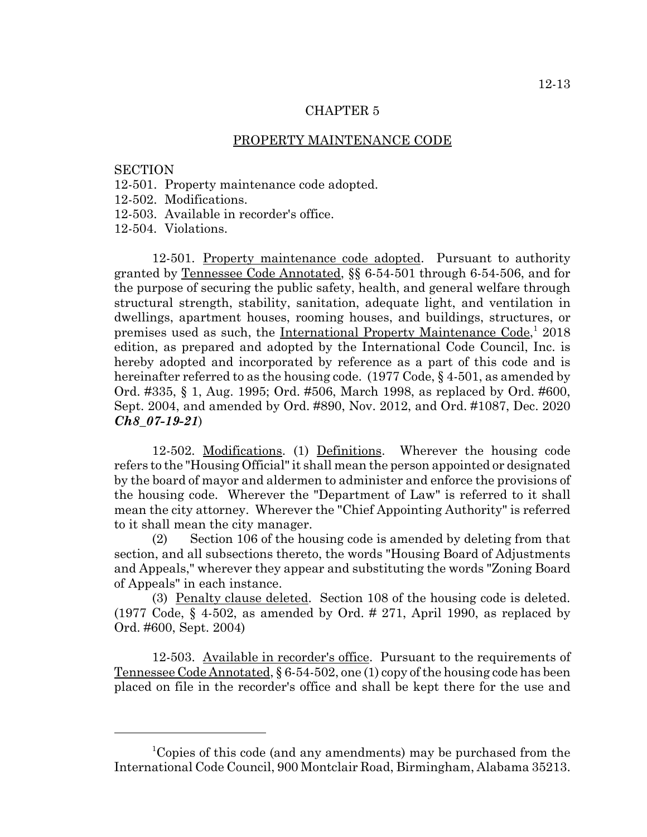#### PROPERTY MAINTENANCE CODE

## **SECTION**

- 12-501. Property maintenance code adopted.
- 12-502. Modifications.
- 12-503. Available in recorder's office.

12-504. Violations.

12-501. Property maintenance code adopted. Pursuant to authority granted by Tennessee Code Annotated, §§ 6-54-501 through 6-54-506, and for the purpose of securing the public safety, health, and general welfare through structural strength, stability, sanitation, adequate light, and ventilation in dwellings, apartment houses, rooming houses, and buildings, structures, or premises used as such, the International Property Maintenance Code,<sup>1</sup> 2018 edition, as prepared and adopted by the International Code Council, Inc. is hereby adopted and incorporated by reference as a part of this code and is hereinafter referred to as the housing code. (1977 Code, §4-501, as amended by Ord. #335, § 1, Aug. 1995; Ord. #506, March 1998, as replaced by Ord. #600, Sept. 2004, and amended by Ord. #890, Nov. 2012, and Ord. #1087, Dec. 2020 *Ch8\_07-19-21*)

12-502. Modifications. (1) Definitions. Wherever the housing code refers to the "Housing Official" it shall mean the person appointed or designated by the board of mayor and aldermen to administer and enforce the provisions of the housing code. Wherever the "Department of Law" is referred to it shall mean the city attorney. Wherever the "Chief Appointing Authority" is referred to it shall mean the city manager.

(2) Section 106 of the housing code is amended by deleting from that section, and all subsections thereto, the words "Housing Board of Adjustments and Appeals," wherever they appear and substituting the words "Zoning Board of Appeals" in each instance.

(3) Penalty clause deleted. Section 108 of the housing code is deleted. (1977 Code,  $\S$  4-502, as amended by Ord. # 271, April 1990, as replaced by Ord. #600, Sept. 2004)

12-503. Available in recorder's office. Pursuant to the requirements of Tennessee Code Annotated, § 6-54-502, one (1) copy of the housing code has been placed on file in the recorder's office and shall be kept there for the use and

<sup>&</sup>lt;sup>1</sup>Copies of this code (and any amendments) may be purchased from the International Code Council, 900 Montclair Road, Birmingham, Alabama 35213.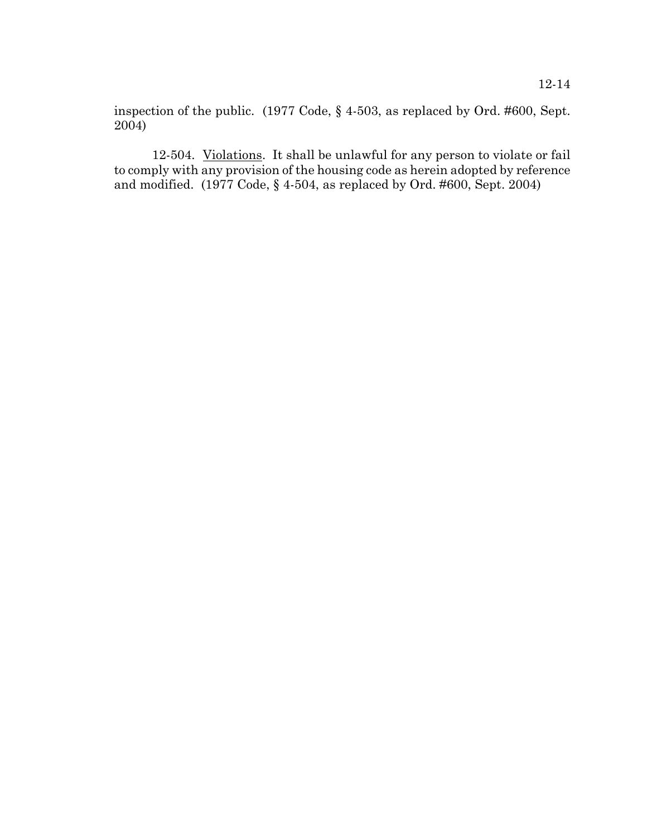inspection of the public. (1977 Code, § 4-503, as replaced by Ord. #600, Sept. 2004)

12-504. Violations. It shall be unlawful for any person to violate or fail to comply with any provision of the housing code as herein adopted by reference and modified. (1977 Code, § 4-504, as replaced by Ord. #600, Sept. 2004)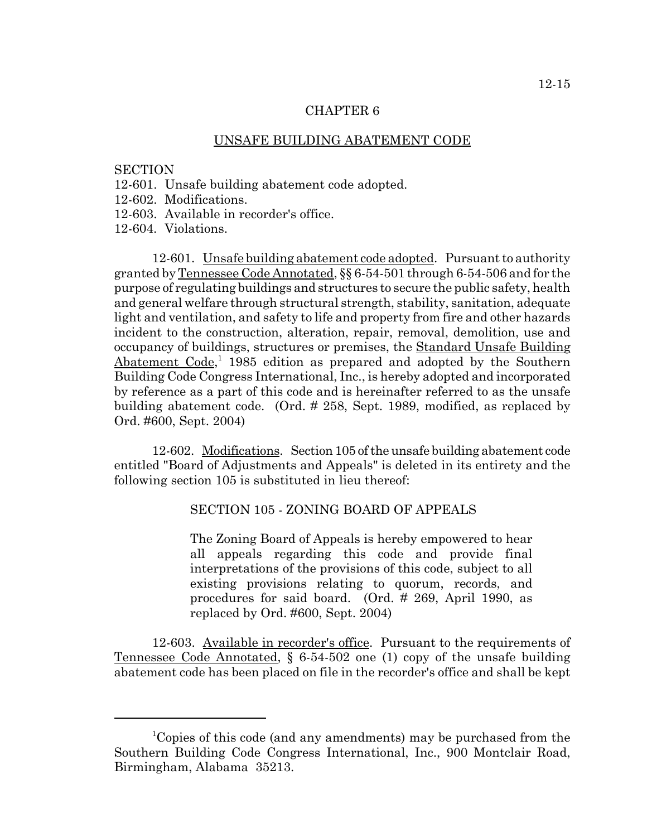## UNSAFE BUILDING ABATEMENT CODE

## **SECTION**

- 12-601. Unsafe building abatement code adopted.
- 12-602. Modifications.
- 12-603. Available in recorder's office.
- 12-604. Violations.

12-601. Unsafe building abatement code adopted. Pursuant to authority granted by Tennessee Code Annotated, §§ 6-54-501 through 6-54-506 and for the purpose of regulating buildings and structures to secure the public safety, health and general welfare through structural strength, stability, sanitation, adequate light and ventilation, and safety to life and property from fire and other hazards incident to the construction, alteration, repair, removal, demolition, use and occupancy of buildings, structures or premises, the Standard Unsafe Building Abatement Code,<sup>1</sup> 1985 edition as prepared and adopted by the Southern Building Code Congress International, Inc., is hereby adopted and incorporated by reference as a part of this code and is hereinafter referred to as the unsafe building abatement code. (Ord. # 258, Sept. 1989, modified, as replaced by Ord. #600, Sept. 2004)

12-602. Modifications. Section 105 of the unsafe building abatement code entitled "Board of Adjustments and Appeals" is deleted in its entirety and the following section 105 is substituted in lieu thereof:

# SECTION 105 - ZONING BOARD OF APPEALS

The Zoning Board of Appeals is hereby empowered to hear all appeals regarding this code and provide final interpretations of the provisions of this code, subject to all existing provisions relating to quorum, records, and procedures for said board. (Ord. # 269, April 1990, as replaced by Ord. #600, Sept. 2004)

12-603. Available in recorder's office. Pursuant to the requirements of Tennessee Code Annotated, § 6-54-502 one (1) copy of the unsafe building abatement code has been placed on file in the recorder's office and shall be kept

<sup>&</sup>lt;sup>1</sup>Copies of this code (and any amendments) may be purchased from the Southern Building Code Congress International, Inc., 900 Montclair Road, Birmingham, Alabama 35213.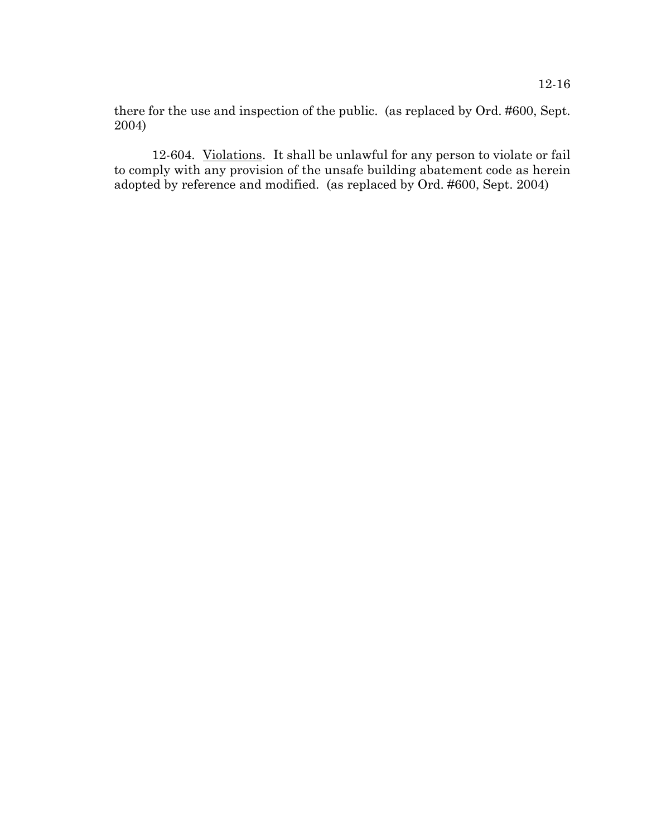there for the use and inspection of the public. (as replaced by Ord. #600, Sept. 2004)

12-604. Violations. It shall be unlawful for any person to violate or fail to comply with any provision of the unsafe building abatement code as herein adopted by reference and modified. (as replaced by Ord. #600, Sept. 2004)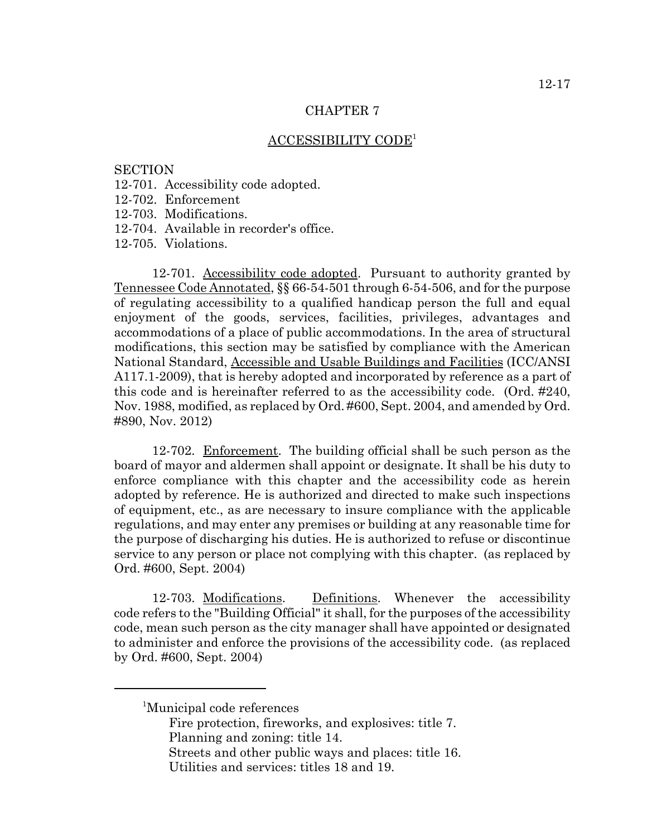## ACCESSIBILITY CODE1

## **SECTION**

- 12-701. Accessibility code adopted.
- 12-702. Enforcement
- 12-703. Modifications.
- 12-704. Available in recorder's office.

12-705. Violations.

12-701. Accessibility code adopted. Pursuant to authority granted by Tennessee Code Annotated, §§ 66-54-501 through 6-54-506, and for the purpose of regulating accessibility to a qualified handicap person the full and equal enjoyment of the goods, services, facilities, privileges, advantages and accommodations of a place of public accommodations. In the area of structural modifications, this section may be satisfied by compliance with the American National Standard, Accessible and Usable Buildings and Facilities (ICC/ANSI A117.1-2009), that is hereby adopted and incorporated by reference as a part of this code and is hereinafter referred to as the accessibility code. (Ord. #240, Nov. 1988, modified, as replaced by Ord. #600, Sept. 2004, and amended by Ord. #890, Nov. 2012)

12-702. Enforcement. The building official shall be such person as the board of mayor and aldermen shall appoint or designate. It shall be his duty to enforce compliance with this chapter and the accessibility code as herein adopted by reference. He is authorized and directed to make such inspections of equipment, etc., as are necessary to insure compliance with the applicable regulations, and may enter any premises or building at any reasonable time for the purpose of discharging his duties. He is authorized to refuse or discontinue service to any person or place not complying with this chapter. (as replaced by Ord. #600, Sept. 2004)

12-703. Modifications. Definitions. Whenever the accessibility code refers to the "Building Official" it shall, for the purposes of the accessibility code, mean such person as the city manager shall have appointed or designated to administer and enforce the provisions of the accessibility code. (as replaced by Ord. #600, Sept. 2004)

<sup>1</sup> Municipal code references

Fire protection, fireworks, and explosives: title 7. Planning and zoning: title 14.

Streets and other public ways and places: title 16. Utilities and services: titles 18 and 19.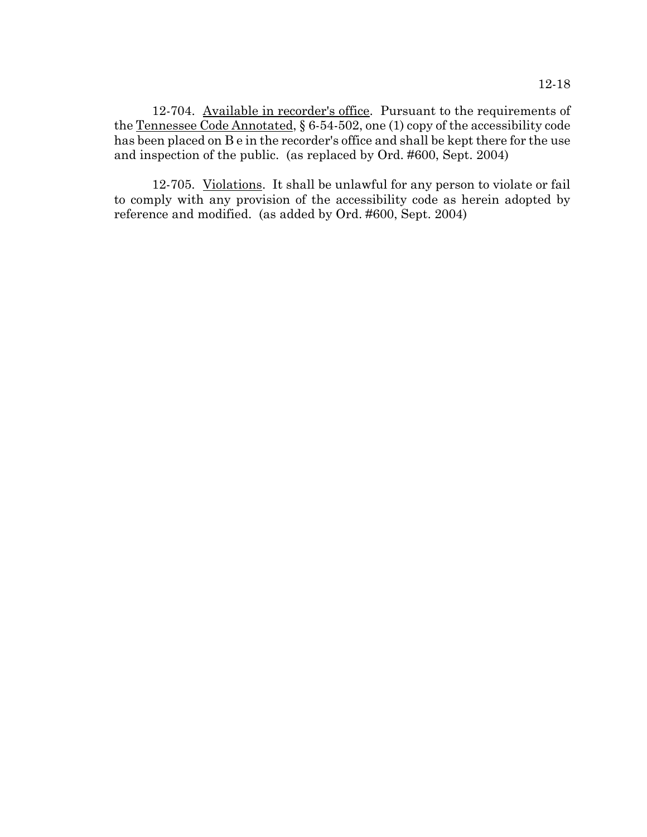12-704. Available in recorder's office. Pursuant to the requirements of the Tennessee Code Annotated, § 6-54-502, one (1) copy of the accessibility code has been placed on B e in the recorder's office and shall be kept there for the use and inspection of the public. (as replaced by Ord. #600, Sept. 2004)

12-705. Violations. It shall be unlawful for any person to violate or fail to comply with any provision of the accessibility code as herein adopted by reference and modified. (as added by Ord. #600, Sept. 2004)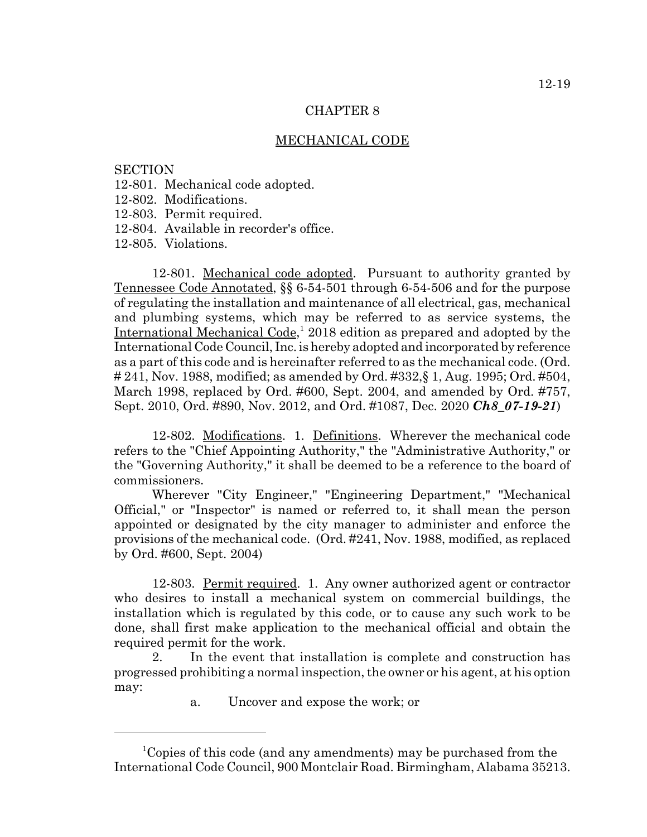#### MECHANICAL CODE

### **SECTION**

- 12-801. Mechanical code adopted.
- 12-802. Modifications.
- 12-803. Permit required.
- 12-804. Available in recorder's office.

12-805. Violations.

12-801. Mechanical code adopted. Pursuant to authority granted by Tennessee Code Annotated, §§ 6-54-501 through 6-54-506 and for the purpose of regulating the installation and maintenance of all electrical, gas, mechanical and plumbing systems, which may be referred to as service systems, the International Mechanical Code,<sup>1</sup> 2018 edition as prepared and adopted by the International Code Council, Inc. is hereby adopted and incorporated by reference as a part of this code and is hereinafter referred to as the mechanical code. (Ord. # 241, Nov. 1988, modified; as amended by Ord. #332,§ 1, Aug. 1995; Ord. #504, March 1998, replaced by Ord. #600, Sept. 2004, and amended by Ord. #757, Sept. 2010, Ord. #890, Nov. 2012, and Ord. #1087, Dec. 2020 *Ch8\_07-19-21*)

12-802. Modifications. 1. Definitions. Wherever the mechanical code refers to the "Chief Appointing Authority," the "Administrative Authority," or the "Governing Authority," it shall be deemed to be a reference to the board of commissioners.

Wherever "City Engineer," "Engineering Department," "Mechanical Official," or "Inspector" is named or referred to, it shall mean the person appointed or designated by the city manager to administer and enforce the provisions of the mechanical code. (Ord. #241, Nov. 1988, modified, as replaced by Ord. #600, Sept. 2004)

12-803. Permit required. 1. Any owner authorized agent or contractor who desires to install a mechanical system on commercial buildings, the installation which is regulated by this code, or to cause any such work to be done, shall first make application to the mechanical official and obtain the required permit for the work.

2. In the event that installation is complete and construction has progressed prohibiting a normal inspection, the owner or his agent, at his option may:

a. Uncover and expose the work; or

<sup>1</sup> Copies of this code (and any amendments) may be purchased from the International Code Council, 900 Montclair Road. Birmingham, Alabama 35213.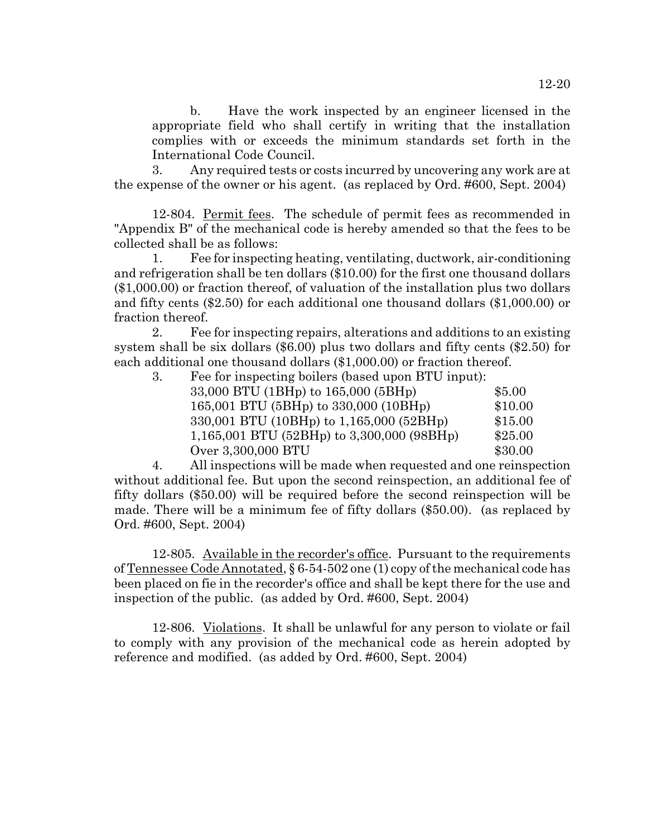b. Have the work inspected by an engineer licensed in the appropriate field who shall certify in writing that the installation complies with or exceeds the minimum standards set forth in the International Code Council.

3. Any required tests or costs incurred by uncovering any work are at the expense of the owner or his agent. (as replaced by Ord. #600, Sept. 2004)

12-804. Permit fees. The schedule of permit fees as recommended in "Appendix B" of the mechanical code is hereby amended so that the fees to be collected shall be as follows:

1. Fee for inspecting heating, ventilating, ductwork, air-conditioning and refrigeration shall be ten dollars (\$10.00) for the first one thousand dollars (\$1,000.00) or fraction thereof, of valuation of the installation plus two dollars and fifty cents (\$2.50) for each additional one thousand dollars (\$1,000.00) or fraction thereof.

2. Fee for inspecting repairs, alterations and additions to an existing system shall be six dollars (\$6.00) plus two dollars and fifty cents (\$2.50) for each additional one thousand dollars (\$1,000.00) or fraction thereof.

3. Fee for inspecting boilers (based upon BTU input):

| 33,000 BTU (1BHp) to 165,000 (5BHp)          | \$5.00  |
|----------------------------------------------|---------|
| 165,001 BTU (5BHp) to 330,000 (10BHp)        | \$10.00 |
| 330,001 BTU (10BHp) to 1,165,000 (52BHp)     | \$15.00 |
| $1,165,001$ BTU (52BHp) to 3,300,000 (98BHp) | \$25.00 |
| Over 3,300,000 BTU                           | \$30.00 |
|                                              |         |

4. All inspections will be made when requested and one reinspection without additional fee. But upon the second reinspection, an additional fee of fifty dollars (\$50.00) will be required before the second reinspection will be made. There will be a minimum fee of fifty dollars (\$50.00). (as replaced by Ord. #600, Sept. 2004)

12-805. Available in the recorder's office. Pursuant to the requirements of Tennessee Code Annotated, § 6-54-502 one (1) copy of the mechanical code has been placed on fie in the recorder's office and shall be kept there for the use and inspection of the public. (as added by Ord. #600, Sept. 2004)

12-806. Violations. It shall be unlawful for any person to violate or fail to comply with any provision of the mechanical code as herein adopted by reference and modified. (as added by Ord. #600, Sept. 2004)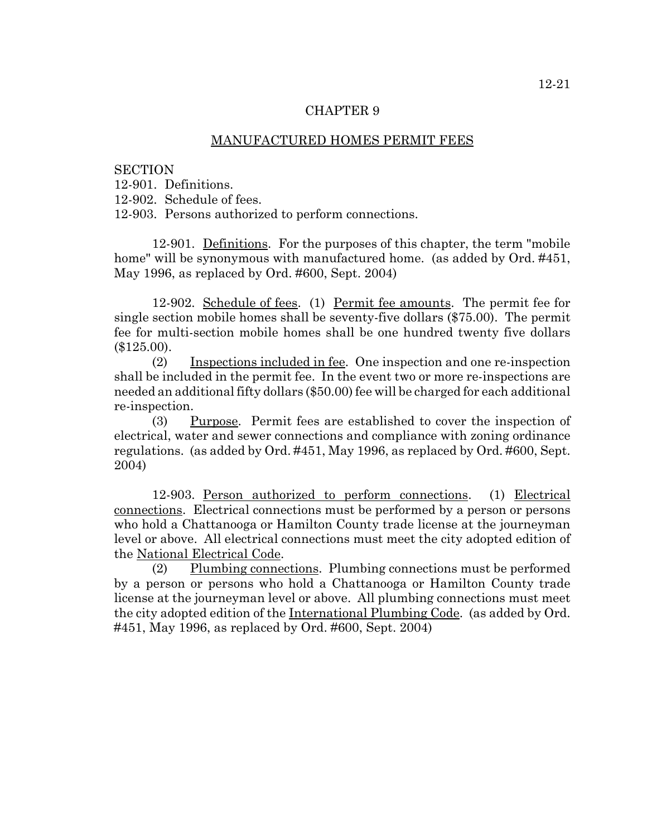#### MANUFACTURED HOMES PERMIT FEES

#### **SECTION**

12-901. Definitions.

12-902. Schedule of fees.

12-903. Persons authorized to perform connections.

12-901. Definitions. For the purposes of this chapter, the term "mobile home" will be synonymous with manufactured home. (as added by Ord. #451, May 1996, as replaced by Ord. #600, Sept. 2004)

12-902. Schedule of fees. (1) Permit fee amounts. The permit fee for single section mobile homes shall be seventy-five dollars (\$75.00). The permit fee for multi-section mobile homes shall be one hundred twenty five dollars (\$125.00).

(2) Inspections included in fee. One inspection and one re-inspection shall be included in the permit fee. In the event two or more re-inspections are needed an additional fifty dollars (\$50.00) fee will be charged for each additional re-inspection.

(3) Purpose. Permit fees are established to cover the inspection of electrical, water and sewer connections and compliance with zoning ordinance regulations. (as added by Ord. #451, May 1996, as replaced by Ord. #600, Sept. 2004)

12-903. Person authorized to perform connections. (1) Electrical connections. Electrical connections must be performed by a person or persons who hold a Chattanooga or Hamilton County trade license at the journeyman level or above. All electrical connections must meet the city adopted edition of the National Electrical Code.

(2) Plumbing connections. Plumbing connections must be performed by a person or persons who hold a Chattanooga or Hamilton County trade license at the journeyman level or above. All plumbing connections must meet the city adopted edition of the International Plumbing Code. (as added by Ord. #451, May 1996, as replaced by Ord. #600, Sept. 2004)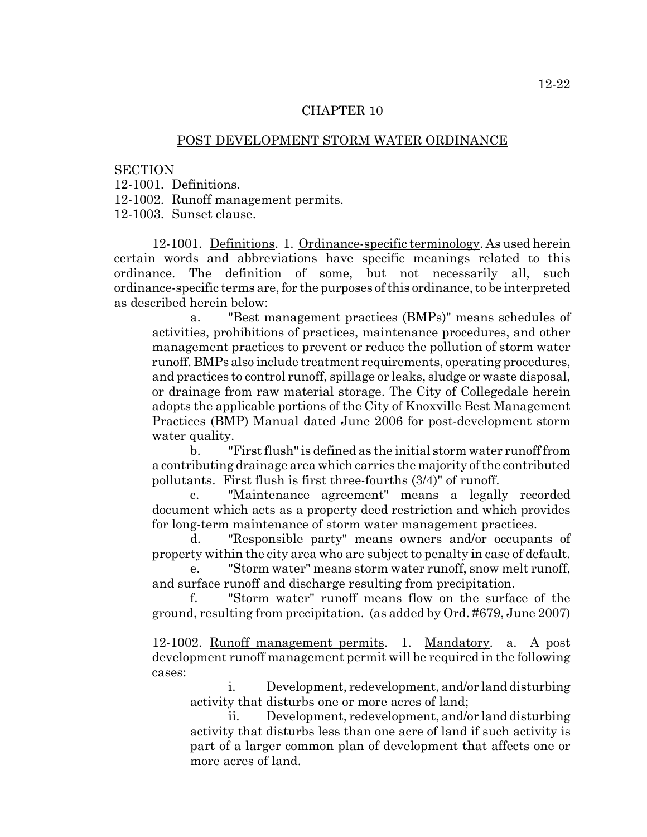## POST DEVELOPMENT STORM WATER ORDINANCE

#### **SECTION**

12-1001. Definitions.

12-1002. Runoff management permits.

12-1003. Sunset clause.

12-1001. Definitions. 1. Ordinance-specific terminology. As used herein certain words and abbreviations have specific meanings related to this ordinance. The definition of some, but not necessarily all, such ordinance-specific terms are, for the purposes of this ordinance, to be interpreted as described herein below:

a. "Best management practices (BMPs)" means schedules of activities, prohibitions of practices, maintenance procedures, and other management practices to prevent or reduce the pollution of storm water runoff. BMPs also include treatment requirements, operating procedures, and practices to control runoff, spillage or leaks, sludge or waste disposal, or drainage from raw material storage. The City of Collegedale herein adopts the applicable portions of the City of Knoxville Best Management Practices (BMP) Manual dated June 2006 for post-development storm water quality.

b. "First flush" is defined as the initial storm water runoff from a contributing drainage area which carries the majority of the contributed pollutants. First flush is first three-fourths (3/4)" of runoff.

c. "Maintenance agreement" means a legally recorded document which acts as a property deed restriction and which provides for long-term maintenance of storm water management practices.

d. "Responsible party" means owners and/or occupants of property within the city area who are subject to penalty in case of default.

"Storm water" means storm water runoff, snow melt runoff, and surface runoff and discharge resulting from precipitation.

"Storm water" runoff means flow on the surface of the ground, resulting from precipitation. (as added by Ord. #679, June 2007)

12-1002. Runoff management permits. 1. Mandatory. a. A post development runoff management permit will be required in the following cases:

i. Development, redevelopment, and/or land disturbing activity that disturbs one or more acres of land;

ii. Development, redevelopment, and/or land disturbing activity that disturbs less than one acre of land if such activity is part of a larger common plan of development that affects one or more acres of land.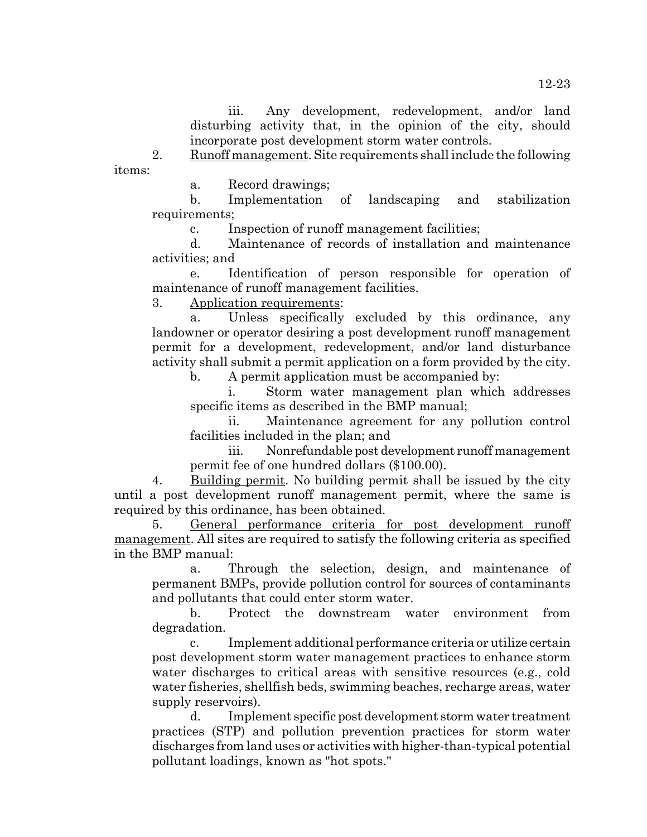2. Runoff management. Site requirements shall include the following items:

a. Record drawings;

b. Implementation of landscaping and stabilization requirements;

c. Inspection of runoff management facilities;

d. Maintenance of records of installation and maintenance activities; and

e. Identification of person responsible for operation of maintenance of runoff management facilities.

3. Application requirements:

a. Unless specifically excluded by this ordinance, any landowner or operator desiring a post development runoff management permit for a development, redevelopment, and/or land disturbance activity shall submit a permit application on a form provided by the city.

b. A permit application must be accompanied by:

i. Storm water management plan which addresses specific items as described in the BMP manual;

ii. Maintenance agreement for any pollution control facilities included in the plan; and

iii. Nonrefundable post development runoff management permit fee of one hundred dollars (\$100.00).

4. Building permit. No building permit shall be issued by the city until a post development runoff management permit, where the same is required by this ordinance, has been obtained.

5. General performance criteria for post development runoff management. All sites are required to satisfy the following criteria as specified in the BMP manual:

a. Through the selection, design, and maintenance of permanent BMPs, provide pollution control for sources of contaminants and pollutants that could enter storm water.

b. Protect the downstream water environment from degradation.

c. Implement additional performance criteria or utilize certain post development storm water management practices to enhance storm water discharges to critical areas with sensitive resources (e.g., cold water fisheries, shellfish beds, swimming beaches, recharge areas, water supply reservoirs).

d. Implement specific post development storm water treatment practices (STP) and pollution prevention practices for storm water discharges from land uses or activities with higher-than-typical potential pollutant loadings, known as "hot spots."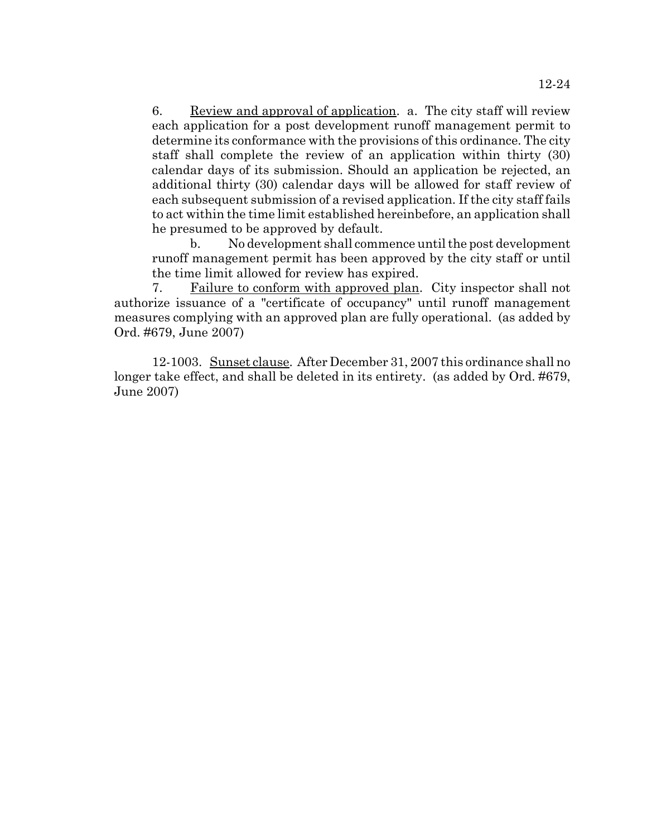6. Review and approval of application. a. The city staff will review each application for a post development runoff management permit to determine its conformance with the provisions of this ordinance. The city staff shall complete the review of an application within thirty (30) calendar days of its submission. Should an application be rejected, an additional thirty (30) calendar days will be allowed for staff review of each subsequent submission of a revised application. If the city staff fails to act within the time limit established hereinbefore, an application shall he presumed to be approved by default.

b. No development shall commence until the post development runoff management permit has been approved by the city staff or until the time limit allowed for review has expired.

7. Failure to conform with approved plan. City inspector shall not authorize issuance of a "certificate of occupancy" until runoff management measures complying with an approved plan are fully operational. (as added by Ord. #679, June 2007)

12-1003. Sunset clause. After December 31, 2007 this ordinance shall no longer take effect, and shall be deleted in its entirety. (as added by Ord. #679, June 2007)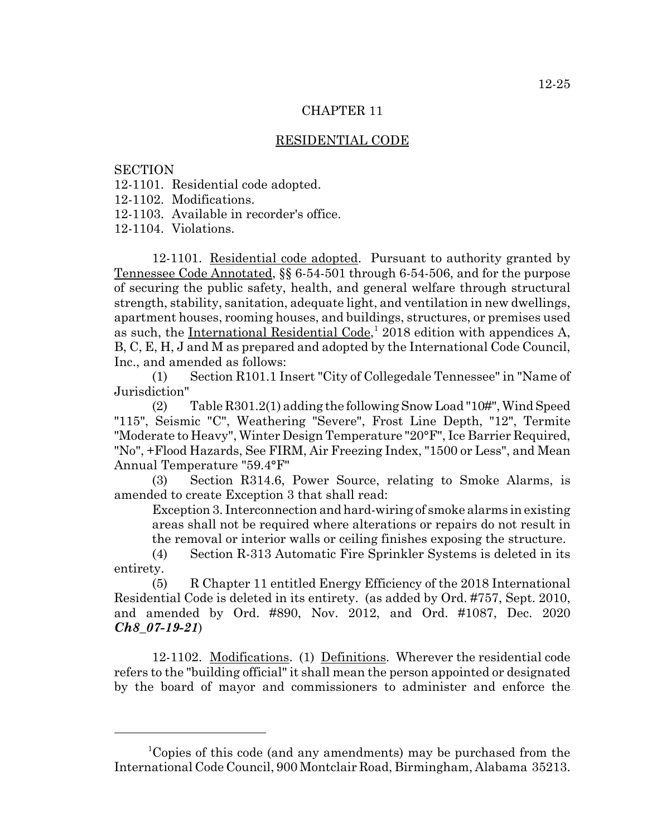## RESIDENTIAL CODE

**SECTION** 

12-1101. Residential code adopted.

12-1102. Modifications.

12-1103. Available in recorder's office.

12-1104. Violations.

12-1101. Residential code adopted. Pursuant to authority granted by Tennessee Code Annotated, §§ 6-54-501 through 6-54-506, and for the purpose of securing the public safety, health, and general welfare through structural strength, stability, sanitation, adequate light, and ventilation in new dwellings, apartment houses, rooming houses, and buildings, structures, or premises used as such, the International Residential Code,<sup>1</sup> 2018 edition with appendices A, B, C, E, H, J and M as prepared and adopted by the International Code Council, Inc., and amended as follows:

(1) Section R101.1 Insert "City of Collegedale Tennessee" in "Name of Jurisdiction"

(2) Table R301.2(1) adding the following Snow Load "10#", Wind Speed "115", Seismic "C", Weathering "Severe", Frost Line Depth, "12", Termite "Moderate to Heavy", Winter Design Temperature "20°F", Ice Barrier Required, "No", +Flood Hazards, See FIRM, Air Freezing Index, "1500 or Less", and Mean Annual Temperature "59.4°F"

(3) Section R314.6, Power Source, relating to Smoke Alarms, is amended to create Exception 3 that shall read:

Exception 3. Interconnection and hard-wiring of smoke alarms in existing areas shall not be required where alterations or repairs do not result in the removal or interior walls or ceiling finishes exposing the structure.

(4) Section R-313 Automatic Fire Sprinkler Systems is deleted in its entirety.

(5) R Chapter 11 entitled Energy Efficiency of the 2018 International Residential Code is deleted in its entirety. (as added by Ord. #757, Sept. 2010, and amended by Ord. #890, Nov. 2012, and Ord. #1087, Dec. 2020 *Ch8\_07-19-21*)

12-1102. Modifications. (1) Definitions. Wherever the residential code refers to the "building official" it shall mean the person appointed or designated by the board of mayor and commissioners to administer and enforce the

<sup>1</sup> Copies of this code (and any amendments) may be purchased from the International Code Council, 900 Montclair Road, Birmingham, Alabama 35213.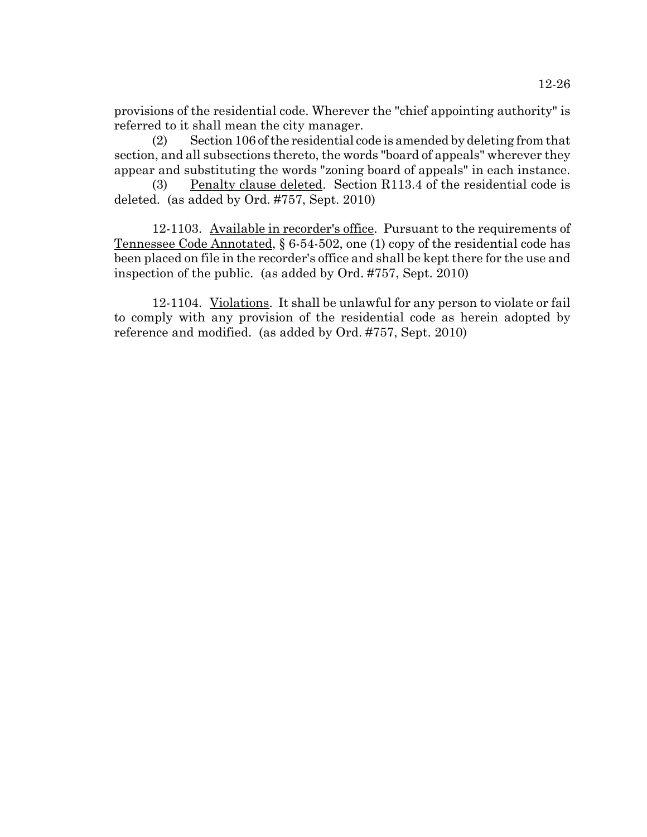provisions of the residential code. Wherever the "chief appointing authority" is referred to it shall mean the city manager.

(2) Section 106 of the residential code is amended by deleting from that section, and all subsections thereto, the words "board of appeals" wherever they appear and substituting the words "zoning board of appeals" in each instance.

(3) Penalty clause deleted. Section R113.4 of the residential code is deleted. (as added by Ord. #757, Sept. 2010)

12-1103. Available in recorder's office. Pursuant to the requirements of Tennessee Code Annotated, § 6-54-502, one (1) copy of the residential code has been placed on file in the recorder's office and shall be kept there for the use and inspection of the public. (as added by Ord. #757, Sept. 2010)

12-1104. Violations. It shall be unlawful for any person to violate or fail to comply with any provision of the residential code as herein adopted by reference and modified. (as added by Ord. #757, Sept. 2010)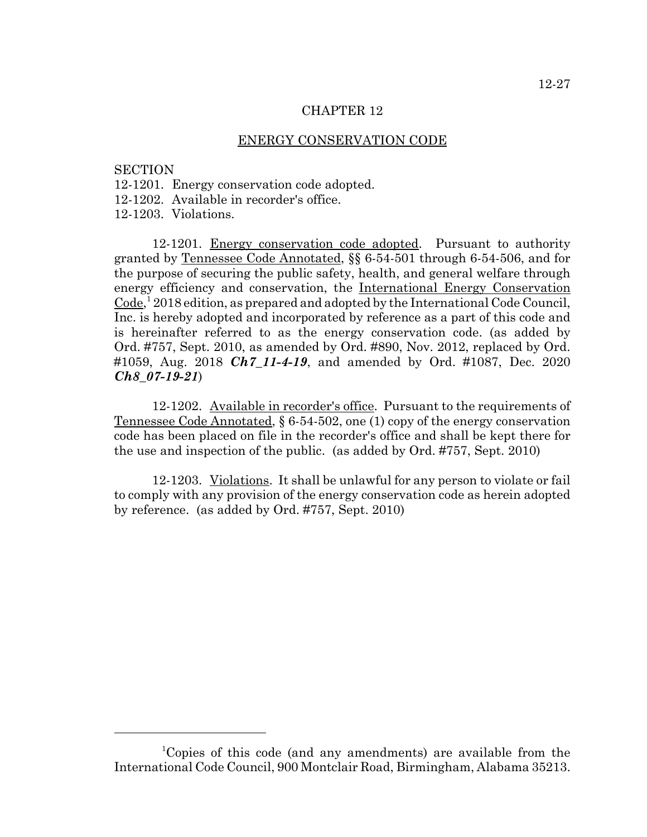## ENERGY CONSERVATION CODE

**SECTION** 

- 12-1201. Energy conservation code adopted.
- 12-1202. Available in recorder's office.

12-1203. Violations.

12-1201. Energy conservation code adopted. Pursuant to authority granted by Tennessee Code Annotated, §§ 6-54-501 through 6-54-506, and for the purpose of securing the public safety, health, and general welfare through energy efficiency and conservation, the International Energy Conservation Code,<sup>1</sup> 2018 edition, as prepared and adopted by the International Code Council, Inc. is hereby adopted and incorporated by reference as a part of this code and is hereinafter referred to as the energy conservation code. (as added by Ord. #757, Sept. 2010, as amended by Ord. #890, Nov. 2012, replaced by Ord. #1059, Aug. 2018 *Ch7\_11-4-19*, and amended by Ord. #1087, Dec. 2020 *Ch8\_07-19-21*)

12-1202. Available in recorder's office. Pursuant to the requirements of Tennessee Code Annotated, § 6-54-502, one (1) copy of the energy conservation code has been placed on file in the recorder's office and shall be kept there for the use and inspection of the public. (as added by Ord. #757, Sept. 2010)

12-1203. Violations. It shall be unlawful for any person to violate or fail to comply with any provision of the energy conservation code as herein adopted by reference. (as added by Ord. #757, Sept. 2010)

<sup>1</sup> Copies of this code (and any amendments) are available from the International Code Council, 900 Montclair Road, Birmingham, Alabama 35213.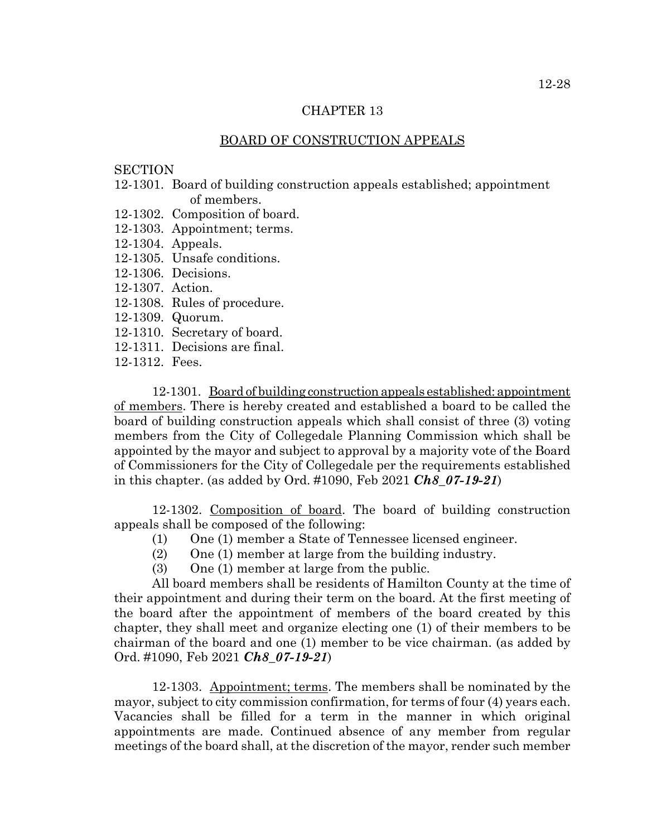## BOARD OF CONSTRUCTION APPEALS

#### **SECTION**

- 12-1301. Board of building construction appeals established; appointment of members.
- 12-1302. Composition of board.
- 12-1303. Appointment; terms.
- 12-1304. Appeals.
- 12-1305. Unsafe conditions.
- 12-1306. Decisions.
- 12-1307. Action.
- 12-1308. Rules of procedure.
- 12-1309. Quorum.
- 12-1310. Secretary of board.
- 12-1311. Decisions are final.
- 12-1312. Fees.

12-1301. Board of building construction appeals established: appointment of members. There is hereby created and established a board to be called the board of building construction appeals which shall consist of three (3) voting members from the City of Collegedale Planning Commission which shall be appointed by the mayor and subject to approval by a majority vote of the Board of Commissioners for the City of Collegedale per the requirements established in this chapter. (as added by Ord. #1090, Feb 2021 *Ch8\_07-19-21*)

12-1302. Composition of board. The board of building construction appeals shall be composed of the following:

- (1) One (1) member a State of Tennessee licensed engineer.
- (2) One (1) member at large from the building industry.
- (3) One (1) member at large from the public.

All board members shall be residents of Hamilton County at the time of their appointment and during their term on the board. At the first meeting of the board after the appointment of members of the board created by this chapter, they shall meet and organize electing one (1) of their members to be chairman of the board and one (1) member to be vice chairman. (as added by Ord. #1090, Feb 2021 *Ch8\_07-19-21*)

12-1303. Appointment; terms. The members shall be nominated by the mayor, subject to city commission confirmation, for terms of four (4) years each. Vacancies shall be filled for a term in the manner in which original appointments are made. Continued absence of any member from regular meetings of the board shall, at the discretion of the mayor, render such member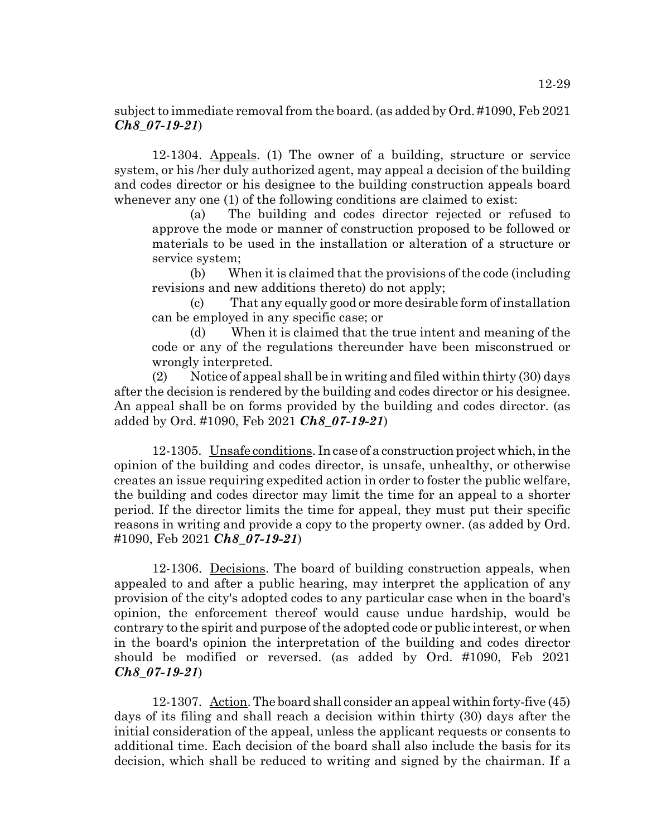# subject to immediate removal from the board. (as added by Ord. #1090, Feb 2021 *Ch8\_07-19-21*)

12-1304. Appeals. (1) The owner of a building, structure or service system, or his /her duly authorized agent, may appeal a decision of the building and codes director or his designee to the building construction appeals board whenever any one (1) of the following conditions are claimed to exist:

(a) The building and codes director rejected or refused to approve the mode or manner of construction proposed to be followed or materials to be used in the installation or alteration of a structure or service system;

(b) When it is claimed that the provisions of the code (including revisions and new additions thereto) do not apply;

(c) That any equally good or more desirable form of installation can be employed in any specific case; or

(d) When it is claimed that the true intent and meaning of the code or any of the regulations thereunder have been misconstrued or wrongly interpreted.

(2) Notice of appeal shall be in writing and filed within thirty  $(30)$  days after the decision is rendered by the building and codes director or his designee. An appeal shall be on forms provided by the building and codes director. (as added by Ord. #1090, Feb 2021 *Ch8\_07-19-21*)

12-1305. Unsafe conditions. In case of a construction project which, in the opinion of the building and codes director, is unsafe, unhealthy, or otherwise creates an issue requiring expedited action in order to foster the public welfare, the building and codes director may limit the time for an appeal to a shorter period. If the director limits the time for appeal, they must put their specific reasons in writing and provide a copy to the property owner. (as added by Ord. #1090, Feb 2021 *Ch8\_07-19-21*)

12-1306. Decisions. The board of building construction appeals, when appealed to and after a public hearing, may interpret the application of any provision of the city's adopted codes to any particular case when in the board's opinion, the enforcement thereof would cause undue hardship, would be contrary to the spirit and purpose of the adopted code or public interest, or when in the board's opinion the interpretation of the building and codes director should be modified or reversed. (as added by Ord. #1090, Feb 2021 *Ch8\_07-19-21*)

12-1307. Action. The board shall consider an appeal within forty-five (45) days of its filing and shall reach a decision within thirty (30) days after the initial consideration of the appeal, unless the applicant requests or consents to additional time. Each decision of the board shall also include the basis for its decision, which shall be reduced to writing and signed by the chairman. If a